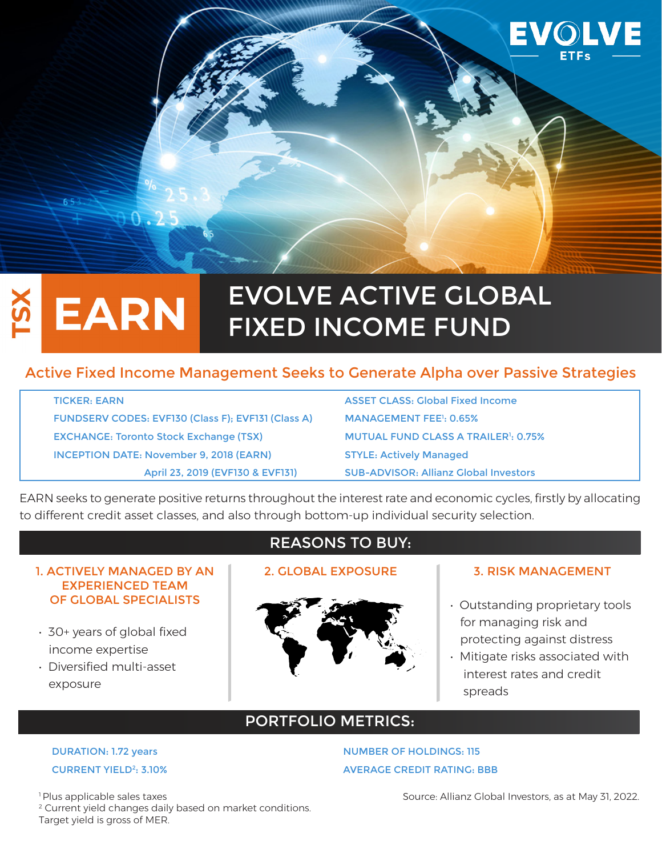

# EVOLVE ACTIVE GLOBAL **EARN** FIXED INCOME FUND

# Active Fixed Income Management Seeks to Generate Alpha over Passive Strategies

TICKER: EARN ASSET CLASS: Global Fixed Income FUNDSERV CODES: EVF130 (Class F); EVF131 (Class A) EXCHANGE: Toronto Stock Exchange (TSX) INCEPTION DATE: November 9, 2018 (EARN) STYLE: Actively Managed

MANAGEMENT FEE<sup>1</sup>: 0.65% MUTUAL FUND CLASS A TRAILER<sup>1</sup>: 0.75% April 23, 2019 (EVF130 & EVF131) SUB-ADVISOR: Allianz Global Investors

EARN seeks to generate positive returns throughout the interest rate and economic cycles, firstly by allocating to different credit asset classes, and also through bottom-up individual security selection.

## 1. ACTIVELY MANAGED BY AN EXPERIENCED TEAM OF GLOBAL SPECIALISTS

- 30+ years of global fixed income expertise
- Diversified multi-asset exposure

# REASONS TO BUY:



## 2. GLOBAL EXPOSURE 1 3. RISK MANAGEMENT

- Outstanding proprietary tools for managing risk and protecting against distress
- Mitigate risks associated with interest rates and credit spreads

# PORTFOLIO METRICS:

DURATION: 1.72 years NUMBER OF HOLDINGS: 115 **CURRENT YIELD<sup>2</sup>: 3.10%** AVERAGE CREDIT RATING: BBB

<sup>1</sup> Plus applicable sales taxes <sup>2</sup> Current yield changes daily based on market conditions. Target yield is gross of MER.

### Source: Allianz Global Investors, as at May 31, 2022.